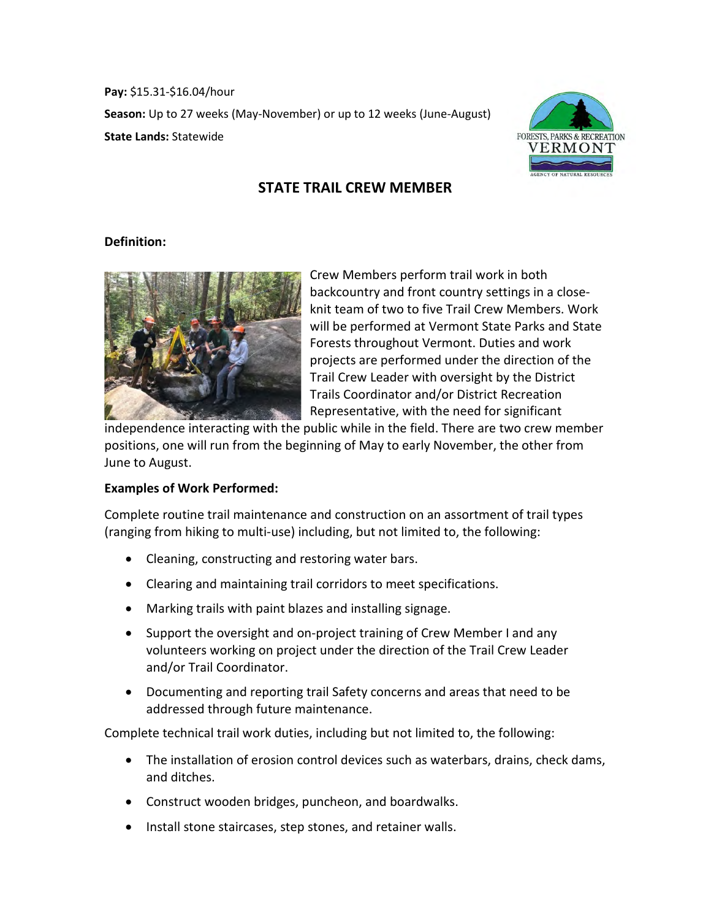**Pay:** \$15.31-\$16.04/hour **Season:** Up to 27 weeks (May-November) or up to 12 weeks (June-August) **State Lands:** Statewide



# **STATE TRAIL CREW MEMBER**

#### **Definition:**



Crew Members perform trail work in both backcountry and front country settings in a closeknit team of two to five Trail Crew Members. Work will be performed at Vermont State Parks and State Forests throughout Vermont. Duties and work projects are performed under the direction of the Trail Crew Leader with oversight by the District Trails Coordinator and/or District Recreation Representative, with the need for significant

independence interacting with the public while in the field. There are two crew member positions, one will run from the beginning of May to early November, the other from June to August.

### **Examples of Work Performed:**

Complete routine trail maintenance and construction on an assortment of trail types (ranging from hiking to multi-use) including, but not limited to, the following:

- Cleaning, constructing and restoring water bars.
- Clearing and maintaining trail corridors to meet specifications.
- Marking trails with paint blazes and installing signage.
- Support the oversight and on-project training of Crew Member I and any volunteers working on project under the direction of the Trail Crew Leader and/or Trail Coordinator.
- Documenting and reporting trail Safety concerns and areas that need to be addressed through future maintenance.

Complete technical trail work duties, including but not limited to, the following:

- The installation of erosion control devices such as waterbars, drains, check dams, and ditches.
- Construct wooden bridges, puncheon, and boardwalks.
- Install stone staircases, step stones, and retainer walls.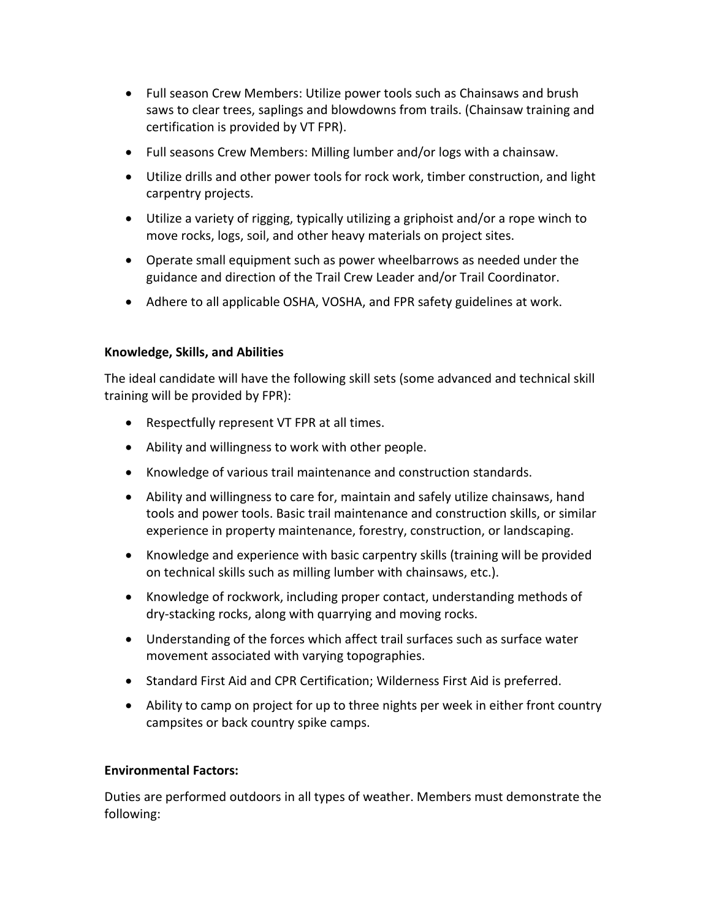- Full season Crew Members: Utilize power tools such as Chainsaws and brush saws to clear trees, saplings and blowdowns from trails. (Chainsaw training and certification is provided by VT FPR).
- Full seasons Crew Members: Milling lumber and/or logs with a chainsaw.
- Utilize drills and other power tools for rock work, timber construction, and light carpentry projects.
- Utilize a variety of rigging, typically utilizing a griphoist and/or a rope winch to move rocks, logs, soil, and other heavy materials on project sites.
- Operate small equipment such as power wheelbarrows as needed under the guidance and direction of the Trail Crew Leader and/or Trail Coordinator.
- Adhere to all applicable OSHA, VOSHA, and FPR safety guidelines at work.

## **Knowledge, Skills, and Abilities**

The ideal candidate will have the following skill sets (some advanced and technical skill training will be provided by FPR):

- Respectfully represent VT FPR at all times.
- Ability and willingness to work with other people.
- Knowledge of various trail maintenance and construction standards.
- Ability and willingness to care for, maintain and safely utilize chainsaws, hand tools and power tools. Basic trail maintenance and construction skills, or similar experience in property maintenance, forestry, construction, or landscaping.
- Knowledge and experience with basic carpentry skills (training will be provided on technical skills such as milling lumber with chainsaws, etc.).
- Knowledge of rockwork, including proper contact, understanding methods of dry-stacking rocks, along with quarrying and moving rocks.
- Understanding of the forces which affect trail surfaces such as surface water movement associated with varying topographies.
- Standard First Aid and CPR Certification; Wilderness First Aid is preferred.
- Ability to camp on project for up to three nights per week in either front country campsites or back country spike camps.

## **Environmental Factors:**

Duties are performed outdoors in all types of weather. Members must demonstrate the following: